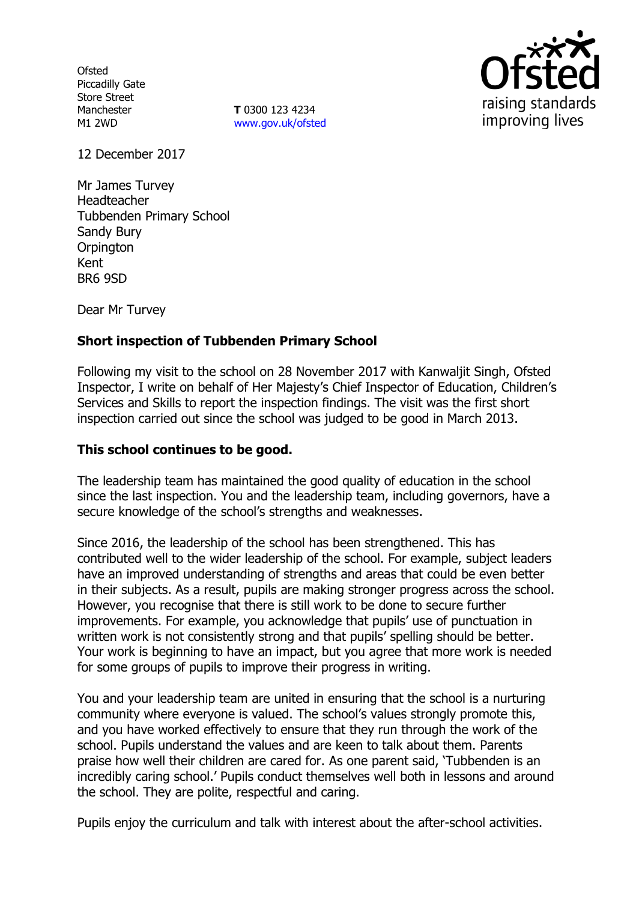**Ofsted** Piccadilly Gate Store Street Manchester M1 2WD

**T** 0300 123 4234 www.gov.uk/ofsted



12 December 2017

Mr James Turvey Headteacher Tubbenden Primary School Sandy Bury **Orpington** Kent BR6 9SD

Dear Mr Turvey

## **Short inspection of Tubbenden Primary School**

Following my visit to the school on 28 November 2017 with Kanwaljit Singh, Ofsted Inspector, I write on behalf of Her Majesty's Chief Inspector of Education, Children's Services and Skills to report the inspection findings. The visit was the first short inspection carried out since the school was judged to be good in March 2013.

### **This school continues to be good.**

The leadership team has maintained the good quality of education in the school since the last inspection. You and the leadership team, including governors, have a secure knowledge of the school's strengths and weaknesses.

Since 2016, the leadership of the school has been strengthened. This has contributed well to the wider leadership of the school. For example, subject leaders have an improved understanding of strengths and areas that could be even better in their subjects. As a result, pupils are making stronger progress across the school. However, you recognise that there is still work to be done to secure further improvements. For example, you acknowledge that pupils' use of punctuation in written work is not consistently strong and that pupils' spelling should be better. Your work is beginning to have an impact, but you agree that more work is needed for some groups of pupils to improve their progress in writing.

You and your leadership team are united in ensuring that the school is a nurturing community where everyone is valued. The school's values strongly promote this, and you have worked effectively to ensure that they run through the work of the school. Pupils understand the values and are keen to talk about them. Parents praise how well their children are cared for. As one parent said, 'Tubbenden is an incredibly caring school.' Pupils conduct themselves well both in lessons and around the school. They are polite, respectful and caring.

Pupils enjoy the curriculum and talk with interest about the after-school activities.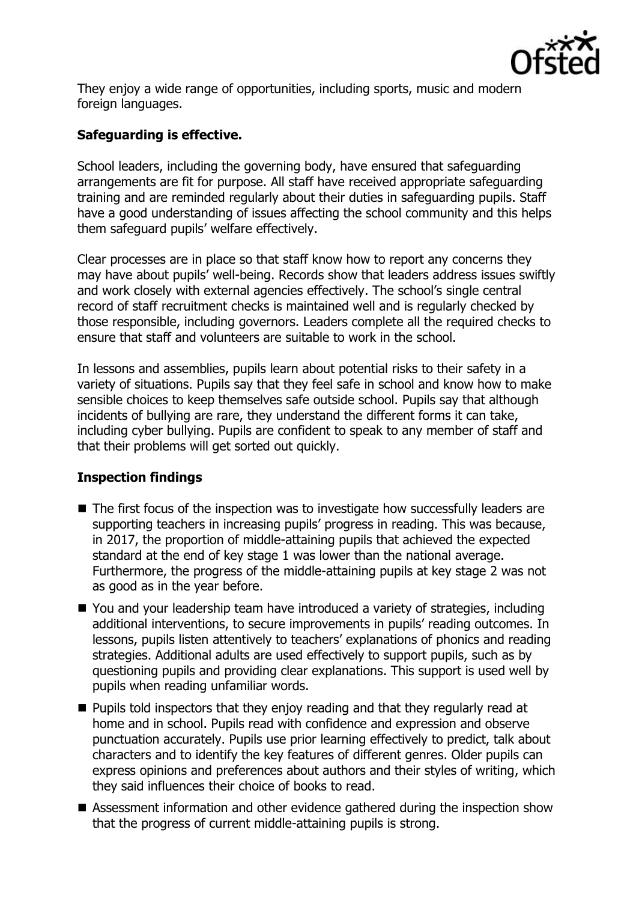

They enjoy a wide range of opportunities, including sports, music and modern foreign languages.

# **Safeguarding is effective.**

School leaders, including the governing body, have ensured that safeguarding arrangements are fit for purpose. All staff have received appropriate safeguarding training and are reminded regularly about their duties in safeguarding pupils. Staff have a good understanding of issues affecting the school community and this helps them safeguard pupils' welfare effectively.

Clear processes are in place so that staff know how to report any concerns they may have about pupils' well-being. Records show that leaders address issues swiftly and work closely with external agencies effectively. The school's single central record of staff recruitment checks is maintained well and is regularly checked by those responsible, including governors. Leaders complete all the required checks to ensure that staff and volunteers are suitable to work in the school.

In lessons and assemblies, pupils learn about potential risks to their safety in a variety of situations. Pupils say that they feel safe in school and know how to make sensible choices to keep themselves safe outside school. Pupils say that although incidents of bullying are rare, they understand the different forms it can take, including cyber bullying. Pupils are confident to speak to any member of staff and that their problems will get sorted out quickly.

# **Inspection findings**

- The first focus of the inspection was to investigate how successfully leaders are supporting teachers in increasing pupils' progress in reading. This was because, in 2017, the proportion of middle-attaining pupils that achieved the expected standard at the end of key stage 1 was lower than the national average. Furthermore, the progress of the middle-attaining pupils at key stage 2 was not as good as in the year before.
- You and your leadership team have introduced a variety of strategies, including additional interventions, to secure improvements in pupils' reading outcomes. In lessons, pupils listen attentively to teachers' explanations of phonics and reading strategies. Additional adults are used effectively to support pupils, such as by questioning pupils and providing clear explanations. This support is used well by pupils when reading unfamiliar words.
- **Pupils told inspectors that they enjoy reading and that they regularly read at** home and in school. Pupils read with confidence and expression and observe punctuation accurately. Pupils use prior learning effectively to predict, talk about characters and to identify the key features of different genres. Older pupils can express opinions and preferences about authors and their styles of writing, which they said influences their choice of books to read.
- Assessment information and other evidence gathered during the inspection show that the progress of current middle-attaining pupils is strong.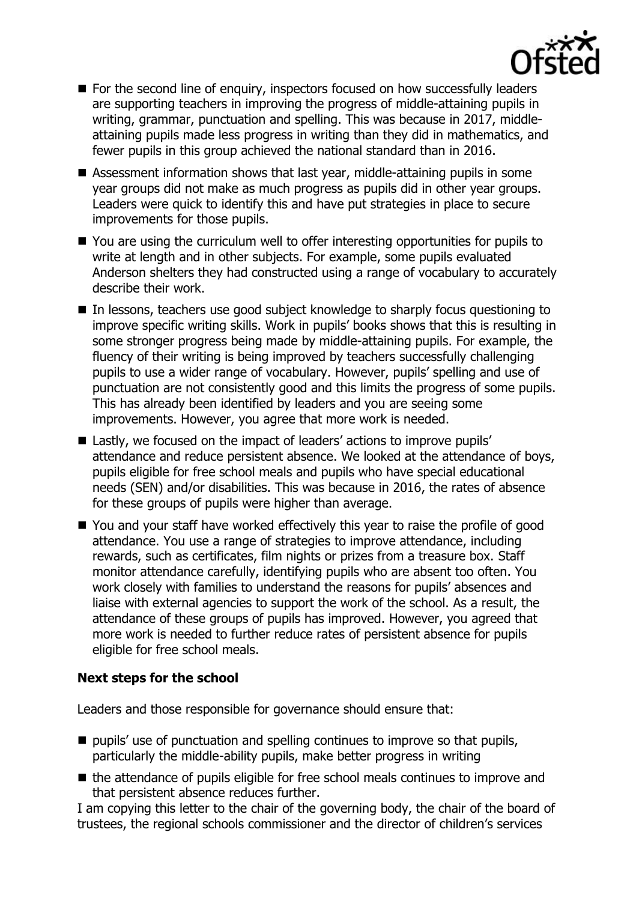

- For the second line of enquiry, inspectors focused on how successfully leaders are supporting teachers in improving the progress of middle-attaining pupils in writing, grammar, punctuation and spelling. This was because in 2017, middleattaining pupils made less progress in writing than they did in mathematics, and fewer pupils in this group achieved the national standard than in 2016.
- Assessment information shows that last year, middle-attaining pupils in some year groups did not make as much progress as pupils did in other year groups. Leaders were quick to identify this and have put strategies in place to secure improvements for those pupils.
- You are using the curriculum well to offer interesting opportunities for pupils to write at length and in other subjects. For example, some pupils evaluated Anderson shelters they had constructed using a range of vocabulary to accurately describe their work.
- In lessons, teachers use good subject knowledge to sharply focus questioning to improve specific writing skills. Work in pupils' books shows that this is resulting in some stronger progress being made by middle-attaining pupils. For example, the fluency of their writing is being improved by teachers successfully challenging pupils to use a wider range of vocabulary. However, pupils' spelling and use of punctuation are not consistently good and this limits the progress of some pupils. This has already been identified by leaders and you are seeing some improvements. However, you agree that more work is needed.
- Lastly, we focused on the impact of leaders' actions to improve pupils' attendance and reduce persistent absence. We looked at the attendance of boys, pupils eligible for free school meals and pupils who have special educational needs (SEN) and/or disabilities. This was because in 2016, the rates of absence for these groups of pupils were higher than average.
- You and your staff have worked effectively this year to raise the profile of good attendance. You use a range of strategies to improve attendance, including rewards, such as certificates, film nights or prizes from a treasure box. Staff monitor attendance carefully, identifying pupils who are absent too often. You work closely with families to understand the reasons for pupils' absences and liaise with external agencies to support the work of the school. As a result, the attendance of these groups of pupils has improved. However, you agreed that more work is needed to further reduce rates of persistent absence for pupils eligible for free school meals.

### **Next steps for the school**

Leaders and those responsible for governance should ensure that:

- $\blacksquare$  pupils' use of punctuation and spelling continues to improve so that pupils, particularly the middle-ability pupils, make better progress in writing
- $\blacksquare$  the attendance of pupils eligible for free school meals continues to improve and that persistent absence reduces further.

I am copying this letter to the chair of the governing body, the chair of the board of trustees, the regional schools commissioner and the director of children's services